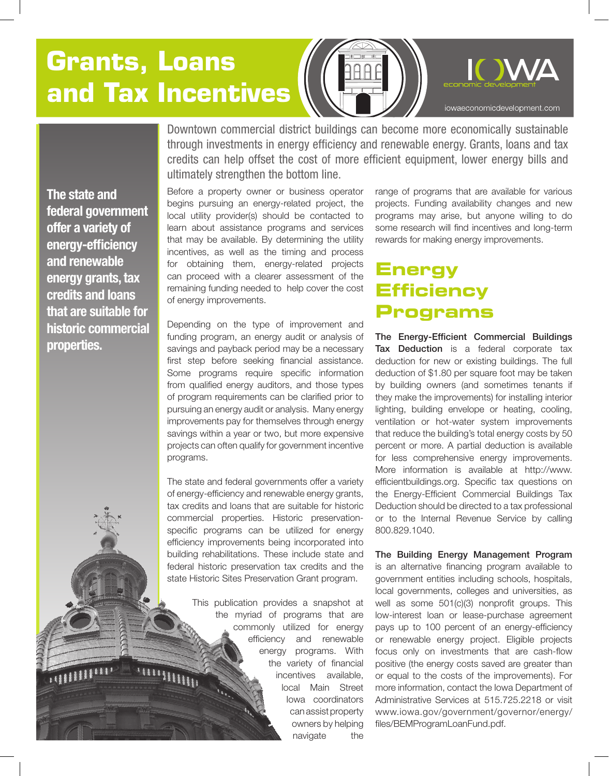# **Grants, Loans and Tax Incentives**



**The state and federal government offer a variety of energy-efficiency and renewable energy grants, tax credits and loans that are suitable for historic commercial properties.**

Downtown commercial district buildings can become more economically sustainable through investments in energy efficiency and renewable energy. Grants, loans and tax credits can help offset the cost of more efficient equipment, lower energy bills and ultimately strengthen the bottom line.

Before a property owner or business operator begins pursuing an energy-related project, the local utility provider(s) should be contacted to learn about assistance programs and services that may be available. By determining the utility incentives, as well as the timing and process for obtaining them, energy-related projects can proceed with a clearer assessment of the remaining funding needed to help cover the cost of energy improvements.

Depending on the type of improvement and funding program, an energy audit or analysis of savings and payback period may be a necessary first step before seeking financial assistance. Some programs require specific information from qualified energy auditors, and those types of program requirements can be clarified prior to pursuing an energy audit or analysis. Many energy improvements pay for themselves through energy savings within a year or two, but more expensive projects can often qualify for government incentive programs.

The state and federal governments offer a variety of energy-efficiency and renewable energy grants, tax credits and loans that are suitable for historic commercial properties. Historic preservationspecific programs can be utilized for energy efficiency improvements being incorporated into building rehabilitations. These include state and federal historic preservation tax credits and the state Historic Sites Preservation Grant program.

> This publication provides a snapshot at the myriad of programs that are commonly utilized for energy efficiency and renewable energy programs. With the variety of financial incentives available, local Main Street Iowa coordinators can assist property owners by helping navigate the

range of programs that are available for various projects. Funding availability changes and new programs may arise, but anyone willing to do some research will find incentives and long-term rewards for making energy improvements.

## **Energy Efficiency Programs**

The Energy-Efficient Commercial Buildings Tax Deduction is a federal corporate tax deduction for new or existing buildings. The full deduction of \$1.80 per square foot may be taken by building owners (and sometimes tenants if they make the improvements) for installing interior lighting, building envelope or heating, cooling, ventilation or hot-water system improvements that reduce the building's total energy costs by 50 percent or more. A partial deduction is available for less comprehensive energy improvements. More information is available at http://www. efficientbuildings.org. Specific tax questions on the Energy-Efficient Commercial Buildings Tax Deduction should be directed to a tax professional or to the Internal Revenue Service by calling 800.829.1040.

The Building Energy Management Program is an alternative financing program available to government entities including schools, hospitals, local governments, colleges and universities, as well as some 501(c)(3) nonprofit groups. This low-interest loan or lease-purchase agreement pays up to 100 percent of an energy-efficiency or renewable energy project. Eligible projects focus only on investments that are cash-flow positive (the energy costs saved are greater than or equal to the costs of the improvements). For more information, contact the Iowa Department of Administrative Services at 515.725.2218 or visit www.iowa.gov/government/governor/energy/ files/BEMProgramLoanFund.pdf.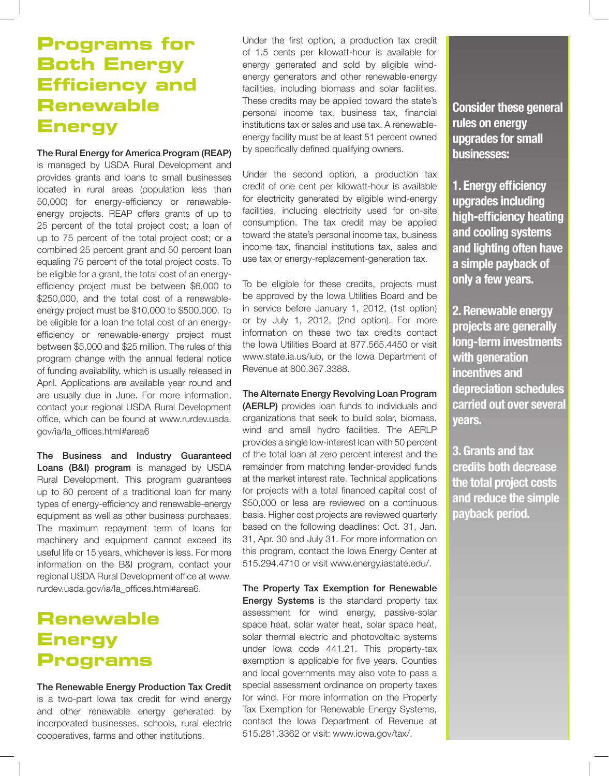## **Programs for Both Energy Efficiency and Renewable Energy**

#### The Rural Energy for America Program (REAP)

is managed by USDA Rural Development and provides grants and loans to small businesses located in rural areas (population less than 50,000) for energy-efficiency or renewableenergy projects. REAP offers grants of up to 25 percent of the total project cost; a loan of up to 75 percent of the total project cost; or a combined 25 percent grant and 50 percent loan equaling 75 percent of the total project costs. To be eligible for a grant, the total cost of an energyefficiency project must be between \$6,000 to \$250,000, and the total cost of a renewableenergy project must be \$10,000 to \$500,000. To be eligible for a loan the total cost of an energyefficiency or renewable-energy project must between \$5,000 and \$25 million. The rules of this program change with the annual federal notice of funding availability, which is usually released in April. Applications are available year round and are usually due in June. For more information, contact your regional USDA Rural Development office, which can be found at www.rurdev.usda. gov/ia/Ia\_offices.html#area6

The Business and Industry Guaranteed Loans (B&I) program is managed by USDA Rural Development. This program guarantees up to 80 percent of a traditional loan for many types of energy-efficiency and renewable-energy equipment as well as other business purchases. The maximum repayment term of loans for machinery and equipment cannot exceed its useful life or 15 years, whichever is less. For more information on the B&I program, contact your regional USDA Rural Development office at www. rurdev.usda.gov/ia/Ia\_offices.html#area6.

## **Renewable Energy Programs**

The Renewable Energy Production Tax Credit is a two-part Iowa tax credit for wind energy and other renewable energy generated by incorporated businesses, schools, rural electric cooperatives, farms and other institutions.

Under the first option, a production tax credit of 1.5 cents per kilowatt-hour is available for energy generated and sold by eligible windenergy generators and other renewable-energy facilities, including biomass and solar facilities. These credits may be applied toward the state's personal income tax, business tax, financial institutions tax or sales and use tax. A renewableenergy facility must be at least 51 percent owned by specifically defined qualifying owners.

Under the second option, a production tax credit of one cent per kilowatt-hour is available for electricity generated by eligible wind-energy facilities, including electricity used for on-site consumption. The tax credit may be applied toward the state's personal income tax, business income tax, financial institutions tax, sales and use tax or energy-replacement-generation tax.

To be eligible for these credits, projects must be approved by the Iowa Utilities Board and be in service before January 1, 2012, (1st option) or by July 1, 2012, (2nd option). For more information on these two tax credits contact the Iowa Utilities Board at 877.565.4450 or visit www.state.ia.us/iub, or the Iowa Department of Revenue at 800.367.3388.

The Alternate Energy Revolving Loan Program

(AERLP) provides loan funds to individuals and organizations that seek to build solar, biomass, wind and small hydro facilities. The AERLP provides a single low-interest loan with 50 percent of the total loan at zero percent interest and the remainder from matching lender-provided funds at the market interest rate. Technical applications for projects with a total financed capital cost of \$50,000 or less are reviewed on a continuous basis. Higher cost projects are reviewed quarterly based on the following deadlines: Oct. 31, Jan. 31, Apr. 30 and July 31. For more information on this program, contact the Iowa Energy Center at 515.294.4710 or visit www.energy.iastate.edu/.

The Property Tax Exemption for Renewable Energy Systems is the standard property tax assessment for wind energy, passive-solar space heat, solar water heat, solar space heat, solar thermal electric and photovoltaic systems under Iowa code 441.21. This property-tax exemption is applicable for five years. Counties and local governments may also vote to pass a special assessment ordinance on property taxes for wind. For more information on the Property Tax Exemption for Renewable Energy Systems, contact the Iowa Department of Revenue at 515.281.3362 or visit: www.iowa.gov/tax/.

**Consider these general rules on energy upgrades for small businesses:**

**1. Energy efficiency upgrades including high-efficiency heating and cooling systems and lighting often have a simple payback of only a few years.** 

**2. Renewable energy projects are generally long-term investments with generation incentives and depreciation schedules carried out over several years.** 

**3. Grants and tax credits both decrease the total project costs and reduce the simple payback period.**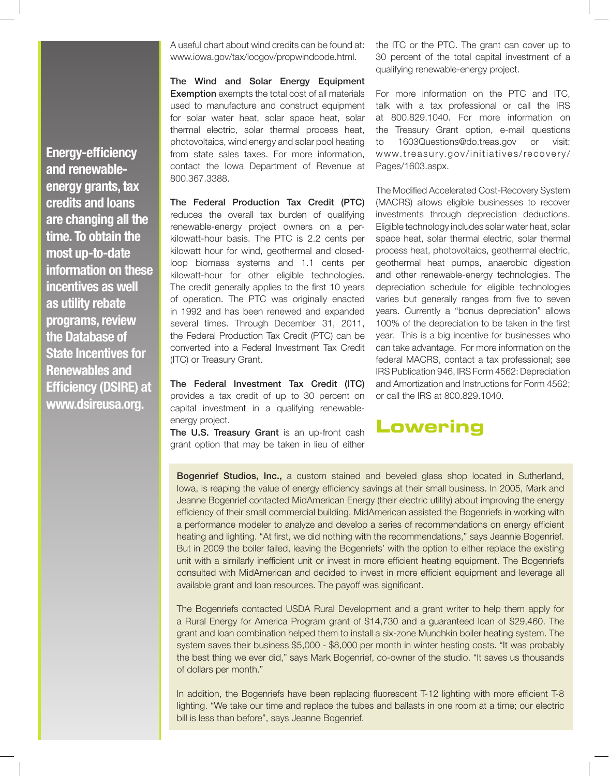**Energy-efficiency and renewableenergy grants, tax credits and loans are changing all the time. To obtain the most up-to-date information on these incentives as well as utility rebate programs, review the Database of State Incentives for Renewables and Efficiency (DSIRE) at www.dsireusa.org.** 

A useful chart about wind credits can be found at: www.iowa.gov/tax/locgov/propwindcode.html.

The Wind and Solar Energy Equipment Exemption exempts the total cost of all materials used to manufacture and construct equipment for solar water heat, solar space heat, solar thermal electric, solar thermal process heat, photovoltaics, wind energy and solar pool heating from state sales taxes. For more information, contact the Iowa Department of Revenue at 800.367.3388.

The Federal Production Tax Credit (PTC) reduces the overall tax burden of qualifying renewable-energy project owners on a perkilowatt-hour basis. The PTC is 2.2 cents per kilowatt hour for wind, geothermal and closedloop biomass systems and 1.1 cents per kilowatt-hour for other eligible technologies. The credit generally applies to the first 10 years of operation. The PTC was originally enacted in 1992 and has been renewed and expanded several times. Through December 31, 2011, the Federal Production Tax Credit (PTC) can be converted into a Federal Investment Tax Credit (ITC) or Treasury Grant.

The Federal Investment Tax Credit (ITC) provides a tax credit of up to 30 percent on capital investment in a qualifying renewableenergy project.

The U.S. Treasury Grant is an up-front cash grant option that may be taken in lieu of either

the ITC or the PTC. The grant can cover up to 30 percent of the total capital investment of a qualifying renewable-energy project.

For more information on the PTC and ITC, talk with a tax professional or call the IRS at 800.829.1040. For more information on the Treasury Grant option, e-mail questions to 1603Questions@do.treas.gov or visit: www.treasury.gov/initiatives/recovery/ Pages/1603.aspx.

The Modified Accelerated Cost-Recovery System (MACRS) allows eligible businesses to recover investments through depreciation deductions. Eligible technology includes solar water heat, solar space heat, solar thermal electric, solar thermal process heat, photovoltaics, geothermal electric, geothermal heat pumps, anaerobic digestion and other renewable-energy technologies. The depreciation schedule for eligible technologies varies but generally ranges from five to seven years. Currently a "bonus depreciation" allows 100% of the depreciation to be taken in the first year. This is a big incentive for businesses who can take advantage. For more information on the federal MACRS, contact a tax professional; see IRS Publication 946, IRS Form 4562: Depreciation and Amortization and Instructions for Form 4562; or call the IRS at 800.829.1040.

### **Lowering**

Bogenrief Studios, Inc., a custom stained and beveled glass shop located in Sutherland, Iowa, is reaping the value of energy efficiency savings at their small business. In 2005, Mark and Jeanne Bogenrief contacted MidAmerican Energy (their electric utility) about improving the energy efficiency of their small commercial building. MidAmerican assisted the Bogenriefs in working with a performance modeler to analyze and develop a series of recommendations on energy efficient heating and lighting. "At first, we did nothing with the recommendations," says Jeannie Bogenrief. But in 2009 the boiler failed, leaving the Bogenriefs' with the option to either replace the existing unit with a similarly inefficient unit or invest in more efficient heating equipment. The Bogenriefs consulted with MidAmerican and decided to invest in more efficient equipment and leverage all available grant and loan resources. The payoff was significant.

The Bogenriefs contacted USDA Rural Development and a grant writer to help them apply for a Rural Energy for America Program grant of \$14,730 and a guaranteed loan of \$29,460. The grant and loan combination helped them to install a six-zone Munchkin boiler heating system. The system saves their business \$5,000 - \$8,000 per month in winter heating costs. "It was probably the best thing we ever did," says Mark Bogenrief, co-owner of the studio. "It saves us thousands of dollars per month."

In addition, the Bogenriefs have been replacing fluorescent T-12 lighting with more efficient T-8 lighting. "We take our time and replace the tubes and ballasts in one room at a time; our electric bill is less than before", says Jeanne Bogenrief.